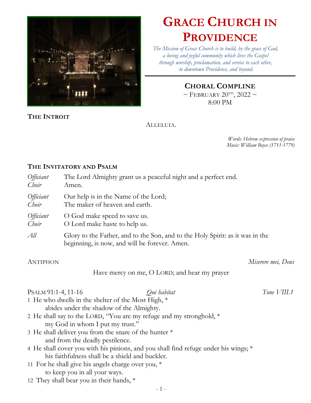

# **GRACE CHURCH IN PROVIDENCE**

*The Mission of Grace Church is to build, by the grace of God, a loving and joyful community which lives the Gospel through worship, proclamation, and service to each other, to downtown Providence, and beyond.*

## **CHORAL COMPLINE**

 $\sim$  FEBRUARY 20<sup>TH</sup>, 2022  $\sim$ 8:00 PM

**THE INTROIT**

#### ALLELUIA.

*Words: Hebrew expression of praise Music: William Boyce (1711-1779)*

## **THE INVITATORY AND PSALM**

| <i>Officiant</i><br>Choir          | The Lord Almighty grant us a peaceful night and a perfect end.<br>Amen.                                                        |                    |
|------------------------------------|--------------------------------------------------------------------------------------------------------------------------------|--------------------|
| <i>Officiant</i><br>Choir          | Our help is in the Name of the Lord;<br>The maker of heaven and earth.                                                         |                    |
| <i>Officiant</i><br>Choir          | O God make speed to save us.<br>O Lord make haste to help us.                                                                  |                    |
| All                                | Glory to the Father, and to the Son, and to the Holy Spirit: as it was in the<br>beginning, is now, and will be forever. Amen. |                    |
| <b>ANTIPHON</b>                    |                                                                                                                                | Miserere mei, Deus |
|                                    | Have mercy on me, O LORD; and hear my prayer                                                                                   |                    |
| Qui habitat<br>PSALM 91:1-4, 11-16 |                                                                                                                                | Tone $VIII.1$      |
|                                    | 1 He who dwells in the shelter of the Most High, *<br>abides under the shadow of the Almighty.                                 |                    |
|                                    | 2 He shall say to the LORD, "You are my refuge and my stronghold, *                                                            |                    |
|                                    | my God in whom I put my trust."                                                                                                |                    |
|                                    | 3 He shall deliver you from the snare of the hunter *                                                                          |                    |
|                                    | and from the deadly pestilence.                                                                                                |                    |

- 4 He shall cover you with his pinions, and you shall find refuge under his wings; \* his faithfulness shall be a shield and buckler.
- 11 For he shall give his angels charge over you, \* to keep you in all your ways.
- 12 They shall bear you in their hands, \*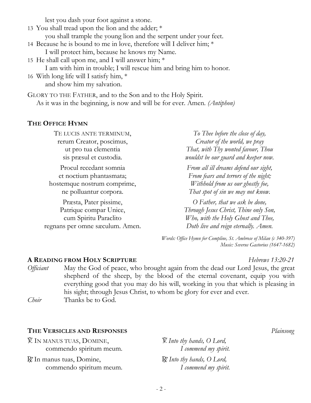lest you dash your foot against a stone.

- 13 You shall tread upon the lion and the adder; \* you shall trample the young lion and the serpent under your feet.
- 14 Because he is bound to me in love, therefore will I deliver him; \* I will protect him, because he knows my Name.
- 15 He shall call upon me, and I will answer him; \* I am with him in trouble; I will rescue him and bring him to honor.
- 16 With long life will I satisfy him, \* and show him my salvation.

GLORY TO THE FATHER, and to the Son and to the Holy Spirit. As it was in the beginning, is now and will be for ever. Amen. *(Antiphon)*

## **THE OFFICE HYMN**

TE LUCIS ANTE TERMINUM, rerum Creator, poscimus, ut pro tua clementia sis præsul et custodia. Procul recedant somnia et noctium phantasmata; hostemque nostrum comprime, ne polluantur corpora. Præsta, Pater pissime, Patrique compar Unice, cum Spiritu Paraclito regnans per omne sæculum. Amen. *To Thee before the close of day, Creator of the world, we pray That, with Thy wonted favour, Thou wouldst be our guard and keeper now. From all ill dreams defend our sight, From fears and terrors of the night; Withhold from us our ghostly foe, That spot of sin we may not know. O Father, that we ask be done, Through Jesus Christ, Thine only Son, Who, with the Holy Ghost and Thee, Doth live and reign eternally. Amen.*

> *Words: Office Hymn for Compline, St. Ambrose of Milan (c 340-397) Music: Severus Gastorius (1647-1682)*

## **A READING FROM HOLY SCRIPTURE** *Hebrews 13:20-21*

*Officiant* May the God of peace, who brought again from the dead our Lord Jesus, the great shepherd of the sheep, by the blood of the eternal covenant, equip you with everything good that you may do his will, working in you that which is pleasing in his sight; through Jesus Christ, to whom be glory for ever and ever. *Choir* Thanks be to God.

## **THE VERSICLES AND RESPONSES** *Plainsong*

V. IN MANUS TUAS, DOMINE, commendo spiritum meum.

R. In manus tuas, Domine, commendo spiritum meum. V. *Into thy hands, O Lord, I commend my spirit.* R. *Into thy hands, O Lord, I commend my spirit.*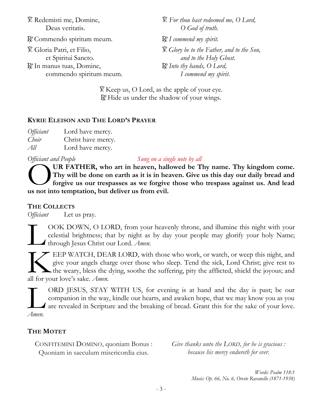V. Redemisti me, Domine, Deus veritatis.

R. Commendo spiritum meum. R. *I commend my spirit.* 

V. Gloria Patri, et Filio, et Spiritui Sancto.

 $\mathbb R$ . In manus tuas, Domine, commendo spiritum meum. V. *For thou hast redeemed me, O Lord, O God of truth.* V. *Glory be to the Father, and to the Son, and to the Holy Ghost.* R. *Into thy hands, O Lord, I commend my spirit.*

V. Keep us, O Lord, as the apple of your eye. R. Hide us under the shadow of your wings.

## **KYRIE ELEISON AND THE LORD'S PRAYER**

*Officiant* Lord have mercy. *Choir* Christ have mercy. *All* Lord have mercy.

#### *Officiant and People Sung on a single note by all*

**UR FATHER, who art in heaven, hallowed be Thy name. Thy kingdom come. Thy will be done on earth as it is in heaven. Give us this day our daily bread and forgive us our trespasses as we forgive those who trespass against us. And lead UR FATHER, who art in heaven, hall Thy will be done on earth as it is in heaven.**<br> **CO** Thy will be done on earth as it is in heaven for from evil.

## **THE COLLECTS**

*Officiant* Let us pray.

OOK DOWN, O LORD, from your heavenly throne, and illumine this night with your celestial brightness; that by night as by day your people may glorify your holy Name; through Jesus Christ our Lord. *Amen.* L

EEP WATCH, DEAR LORD, with those who work, or watch, or weep this night, and give your angels charge over those who sleep. Tend the sick, Lord Christ; give rest to the weary, bless the dying, soothe the suffering, pity the afflicted, shield the joyous; and **Allen FEP WATCH, DEA**<br>give your angels cha<br>all for your love's sake. *Amen.* 

ORD JESUS, STAY WITH US, for evening is at hand and the day is past; be our companion in the way, kindle our hearts, and awaken hope, that we may know you as you are revealed in Scripture and the breaking of bread. Grant this for the sake of your love. *Amen.* L

## **THE MOTET**

CONFITEMINI DOMINO, quoniam Bonus : Quoniam in saeculum misericordia eius.

*Give thanks unto the LORD, for he is gracious : because his mercy endureth for ever.*